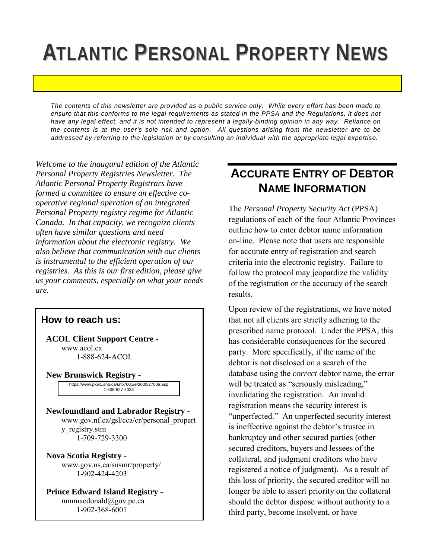# **ATLANTIC PERSONAL PROPERTY NEWS**

*The contents of this newsletter are provided as a public service only. While every effort has been made to ensure that this conforms to the legal requirements as stated in the PPSA and the Regulations, it does not have any legal effect, and it is not intended to represent a legally-binding opinion in any way. Reliance on the contents is at the user's sole risk and option. All questions arising from the newsletter are to be addressed by referring to the legislation or by consulting an individual with the appropriate legal expertise.* 

*Welcome to the inaugural edition of the Atlantic Personal Property Registries Newsletter. The Atlantic Personal Property Registrars have formed a committee to ensure an effective cooperative regional operation of an integrated Personal Property registry regime for Atlantic Canada. In that capacity, we recognize clients often have similar questions and need information about the electronic registry. We also believe that communication with our clients is instrumental to the efficient operation of our registries. As this is our first edition, please give us your comments, especially on what your needs are.* 

#### **How to reach us:**

**ACOL Client Support Centre**  www.acol.ca 1-888-624-ACOL

**New Brunswick Registry -** 

https://www.pxw1.snb.ca/snb7001/e/2000/2700e.asp 1-506-444-5510 1-506-627-4033

**Newfoundland and Labrador Registry**  www.gov.nf.ca/gsl/cca/cr/personal\_propert y\_registry.stm 1-709-729-3300

**Nova Scotia Registry**  www.gov.ns.ca/snsmr/property/ 1-902-424-4203

**Prince Edward Island Registry**  mmmacdonald@gov.pe.ca 1-902-368-6001

#### **ACCURATE ENTRY OF DEBTOR NAME INFORMATION**

The *Personal Property Security Act* (PPSA) regulations of each of the four Atlantic Provinces outline how to enter debtor name information on-line. Please note that users are responsible for accurate entry of registration and search criteria into the electronic registry. Failure to follow the protocol may jeopardize the validity of the registration or the accuracy of the search results.

Upon review of the registrations, we have noted that not all clients are strictly adhering to the prescribed name protocol. Under the PPSA, this has considerable consequences for the secured party. More specifically, if the name of the debtor is not disclosed on a search of the database using the *correct* debtor name, the error will be treated as "seriously misleading," invalidating the registration. An invalid registration means the security interest is "unperfected." An unperfected security interest is ineffective against the debtor's trustee in bankruptcy and other secured parties (other secured creditors, buyers and lessees of the collateral, and judgment creditors who have registered a notice of judgment). As a result of this loss of priority, the secured creditor will no longer be able to assert priority on the collateral should the debtor dispose without authority to a third party, become insolvent, or have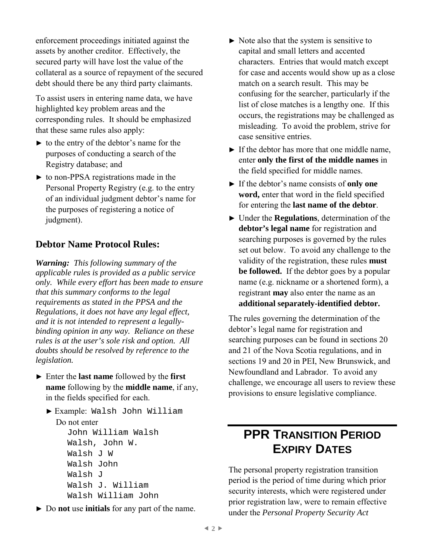enforcement proceedings initiated against the assets by another creditor. Effectively, the secured party will have lost the value of the collateral as a source of repayment of the secured debt should there be any third party claimants.

To assist users in entering name data, we have highlighted key problem areas and the corresponding rules. It should be emphasized that these same rules also apply:

- ► to the entry of the debtor's name for the purposes of conducting a search of the Registry database; and
- ► to non-PPSA registrations made in the Personal Property Registry (e.g. to the entry of an individual judgment debtor's name for the purposes of registering a notice of judgment).

#### **Debtor Name Protocol Rules:**

*Warning: This following summary of the applicable rules is provided as a public service only. While every effort has been made to ensure that this summary conforms to the legal requirements as stated in the PPSA and the Regulations, it does not have any legal effect, and it is not intended to represent a legallybinding opinion in any way. Reliance on these rules is at the user's sole risk and option. All doubts should be resolved by reference to the legislation.* 

- ► Enter the **last name** followed by the **first name** following by the **middle name**, if any, in the fields specified for each.
	- ► Example: Walsh John William Do not enter John William Walsh Walsh, John W. Walsh J W Walsh John Walsh J Walsh J. William Walsh William John
- ► Do **not** use **initials** for any part of the name.
- $\triangleright$  Note also that the system is sensitive to capital and small letters and accented characters. Entries that would match except for case and accents would show up as a close match on a search result. This may be confusing for the searcher, particularly if the list of close matches is a lengthy one. If this occurs, the registrations may be challenged as misleading. To avoid the problem, strive for case sensitive entries.
- $\blacktriangleright$  If the debtor has more that one middle name, enter **only the first of the middle names** in the field specified for middle names.
- ► If the debtor's name consists of **only one word,** enter that word in the field specified for entering the **last name of the debtor**.
- ► Under the **Regulations**, determination of the **debtor's legal name** for registration and searching purposes is governed by the rules set out below. To avoid any challenge to the validity of the registration, these rules **must be followed.** If the debtor goes by a popular name (e.g. nickname or a shortened form), a registrant **may** also enter the name as an **additional separately-identified debtor.**

The rules governing the determination of the debtor's legal name for registration and searching purposes can be found in sections 20 and 21 of the Nova Scotia regulations, and in sections 19 and 20 in PEI, New Brunswick, and Newfoundland and Labrador. To avoid any challenge, we encourage all users to review these provisions to ensure legislative compliance.

#### **PPR TRANSITION PERIOD EXPIRY DATES**

The personal property registration transition period is the period of time during which prior security interests, which were registered under prior registration law, were to remain effective under the *Personal Property Security Act*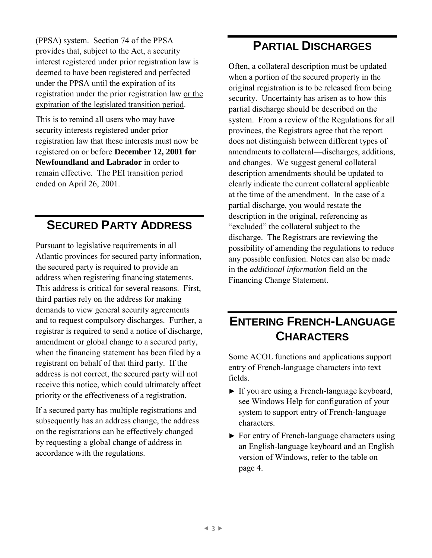(PPSA) system. Section 74 of the PPSA provides that, subject to the Act, a security interest registered under prior registration law is deemed to have been registered and perfected under the PPSA until the expiration of its registration under the prior registration law or the expiration of the legislated transition period.

This is to remind all users who may have security interests registered under prior registration law that these interests must now be registered on or before **December 12, 2001 for Newfoundland and Labrador** in order to remain effective. The PEI transition period ended on April 26, 2001.

### **SECURED PARTY ADDRESS**

Pursuant to legislative requirements in all Atlantic provinces for secured party information, the secured party is required to provide an address when registering financing statements. This address is critical for several reasons. First, third parties rely on the address for making demands to view general security agreements and to request compulsory discharges. Further, a registrar is required to send a notice of discharge, amendment or global change to a secured party, when the financing statement has been filed by a registrant on behalf of that third party. If the address is not correct, the secured party will not receive this notice, which could ultimately affect priority or the effectiveness of a registration.

If a secured party has multiple registrations and subsequently has an address change, the address on the registrations can be effectively changed by requesting a global change of address in accordance with the regulations.

#### **PARTIAL DISCHARGES**

Often, a collateral description must be updated when a portion of the secured property in the original registration is to be released from being security. Uncertainty has arisen as to how this partial discharge should be described on the system. From a review of the Regulations for all provinces, the Registrars agree that the report does not distinguish between different types of amendments to collateral—discharges, additions, and changes. We suggest general collateral description amendments should be updated to clearly indicate the current collateral applicable at the time of the amendment. In the case of a partial discharge, you would restate the description in the original, referencing as "excluded" the collateral subject to the discharge. The Registrars are reviewing the possibility of amending the regulations to reduce any possible confusion. Notes can also be made in the *additional information* field on the Financing Change Statement.

## **ENTERING FRENCH-LANGUAGE CHARACTERS**

Some ACOL functions and applications support entry of French-language characters into text fields.

- ► If you are using a French-language keyboard, see Windows Help for configuration of your system to support entry of French-language characters.
- ► For entry of French-language characters using an English-language keyboard and an English version of Windows, refer to the table on page 4.